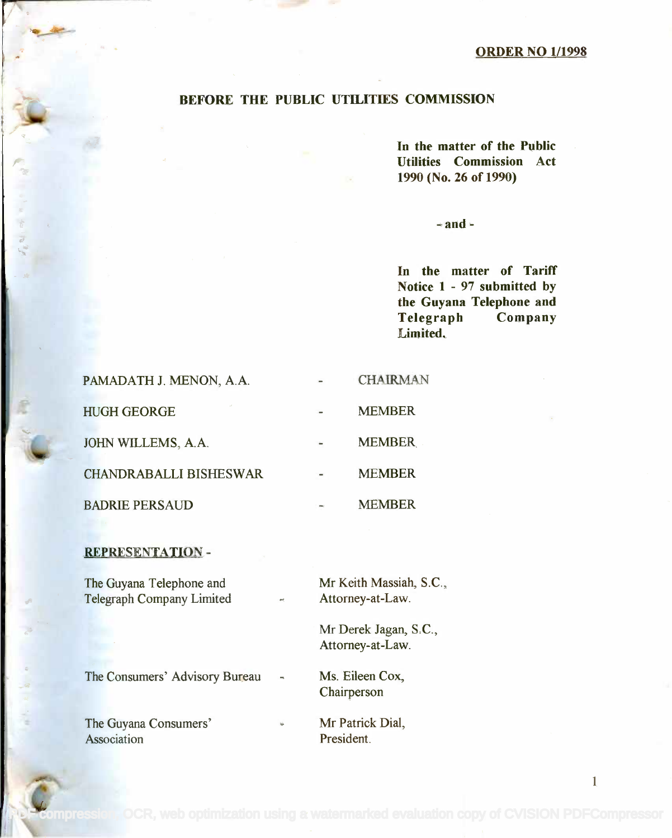1

#### BEFORE THE PUBLIC UTILITIES COMMISSION

In the matter of the Public In the matter of the Public Utilities Commission Act Utilities Commission Act 1990 (No. 26 of 1990) 1990(No. 26 of 1990)

 $-$  and  $-$ 

In the matter of Tariff In the matter of Tariff Notice 1 - 97 submitted by Notice 1 - 97 submitted by the Guyana Telephone and the Guyana Telephone and Telegraph Company Telegraph Company Limited. Limited.

| PAMADATH J. MENON, A.A.       | <b>CHAIRMAN</b> |
|-------------------------------|-----------------|
| <b>HUGH GEORGE</b>            | <b>MEMBER</b>   |
| JOHN WILLEMS, A.A.            | <b>MEMBER</b>   |
| <b>CHANDRABALLI BISHESWAR</b> | <b>MEMBER</b>   |
| <b>BADRIE PERSAUD</b>         | <b>MEMBER</b>   |

#### REPRESENTATION -

The Guyana Telephone and The Guyana Telephone and Telegraph Company Limited Telegraph Company Limited Mr Keith Massiah, S.C., Mr Keith Massiah, S.c., Attorney-at-Law. Attorney-at-Law.

Mr Derek Jagan, S.C., Mr Derek Jagan, S.c., Attorney-at-Law. Attorney-at-Law.

Ms. Eileen Cox, Ms. Eileen Cox,

The Consumers' Advisory Bureau

The Guyana Consumers' The Guyana Consumers' Association Association

Chairperson Chairperson

Mr Patrick Dial, Mr Patrick Dial, President. President.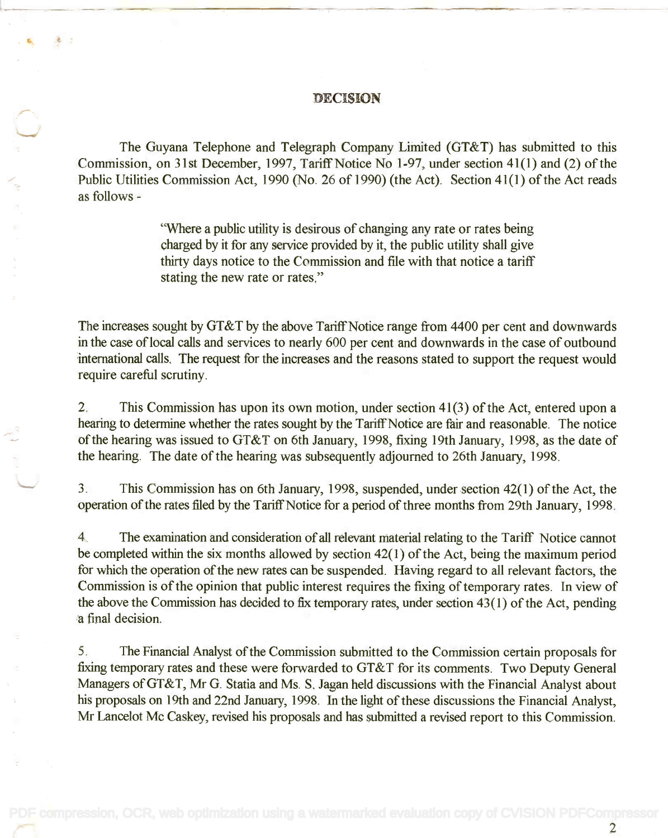#### DECISION

The Guyana Telephone and Telegraph Company Limited (GT&T) has submitted to this The Guyana Telephone and Telegraph Company Limited (GT&T) has submitted to this Commission, on 31st December, 1997, Tariff Notice No 1-97, under section 41(1) and (2) of the Commission, on 31st December, 1997, Tariff Notice No 1~97, under section 41(1) and (2) of the Public Utilities Commission Act, 1990 (No. 26 of 1990) (the Act). Section 41(1) of the Act reads Public Utilities Commission Act, 1990 (No. 26 of 1990) (the Act). Section 41(1) of the Act reads as follows - as follows-

> "Where a public utility is desirous of changing any rate or rates being "Where a public utility is desirous of changing any rate or rates being charged by it for any service provided by it, the public utility shall give charged by it for any service provided by it, the public utility shall give thirty days notice to the Commission and file with that notice a tariff stating the new rate or rates."

The increases sought by GT&T by the above Tariff Notice range from 4400 per cent and downwards The increases sought by GT&T by the above Tariff Notice range from 4400 per cent and downwards in the case of local calls and services to nearly 600 per cent and downwards in the case of outbound international calls. The request for the increases and the reasons stated to support the request would international calls. The request for the increases and the reasons stated to support the request would require careful scrutiny. require careful scrutiny.

2. This Commission has upon its own motion, under section 41(3) of the Act, entered upon a 2. This Commission has upon its own motion, under section 41(3) of the Act, entered upon a hearing to determine whether the rates sought by the Tariff Notice are fair and reasonable. The notice of the hearing was issued to GT&T on 6th January, 1998, fixing 19th January, 1998, as the date of of the hearing was issued to GT&T on 6th January, 1998, fixing 19th January, 1998, as the date of the hearing. The date of the hearing was subsequently adjourned to 26th January, 1998. the hearing. The date of the hearing was subsequently adjourned to 26th January, 1998.

3. This Commission has on 6th January, 1998, suspended, under section 42(1) of the Act, the 3. This Commission has on 6th January, 1998, suspended, under section 42(1) of the Act, the operation of the rates filed by the Tariff Notice for a period of three months from 29th January, 1998.

4. The examination and consideration of all relevant material relating to the Tariff Notice cannot 4. The examination and consideration of all relevant material relating to the Tariff Notice cannot be completed within the six months allowed by section 42(1) of the Act, being the maximum period be completed within the six months allowed by section 42(1) of the Act, being the maximum period for which the operation of the new rates can be suspended. Having regard to all relevant factors, the for which the operation of the new rates can be suspended. Having regard to all relevant factors, the Commission is of the opinion that public interest requires the fixing of temporary rates. In view of Commission is of the opinion that public interest requires the fixing of temporary rates. In view of the above the Commission has decided to fix temporary rates, under section 43(1) of the Act, pending the above the Commission has decided to fix temporary rates, under section 43( 1) of the Act, pending a final decision. a final decision.

5. The Financial Analyst of the Commission submitted to the Commission certain proposals for 5. The Financial Analyst of the Commission submitted to the Commission certain proposals for fixing temporary rates and these were forwarded to GT&T for its comments. Two Deputy General fixing temporary rates and these were forwarded to GT&T for its comments. Two Deputy General Managers of GT&T, Mr G. Statia and Ms. S. Jagan held discussions with the Financial Analyst about Managers ofGT&T, Mr G. Statia and Ms. S. Jagan held discussions with the Financial Analyst about his proposals on 19th and 22nd January, 1998. In the light of these discussions the Financial Analyst, his proposals on 19th and 22nd January, 1998. In the light of these discussions the Financial Analyst, Mr Lancelot Mc Caskey, revised his proposals and has submitted a revised report to this Commission. Mr Lancelot Mc Caskey, revised his proposals and has submitted a revised report to this Commission.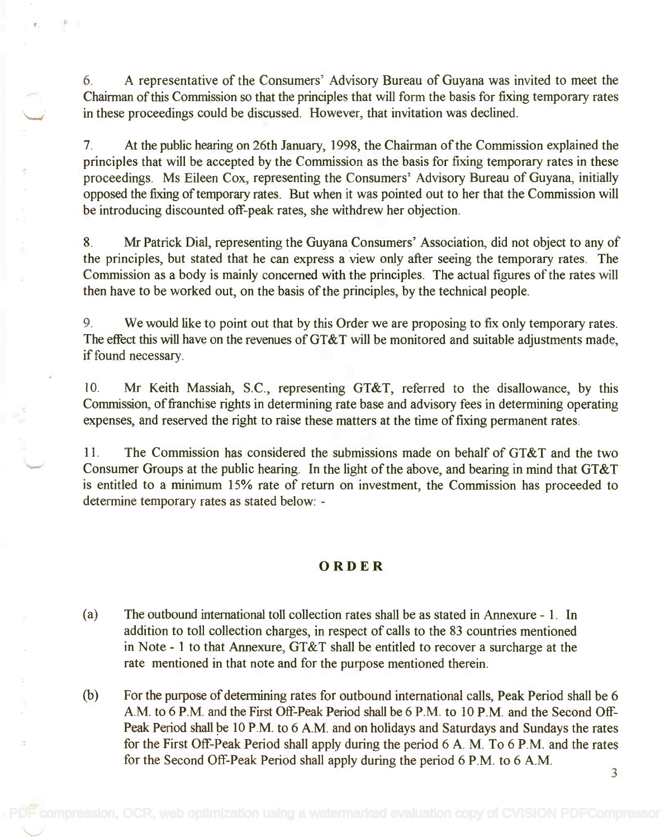6. A representative of the Consumers' Advisory Bureau of Guyana was invited to meet the 6. A representative of the Consumers' Advisory Bureau of Guyana was invited to meet the Chairman of this Commission so that the principles that will form the basis for fixing temporary rates Chairman of this Commission so that the principles that will form the basis for fixing temporary rates in these proceedings could be discussed. However, that invitation was declined. in these proceedings could be discussed. However, that invitation was declined.

7. At the public hearing on 26th January, 1998, the Chairman of the Commission explained the 7. At the public hearing on 26th January, 1998, the Chairman of the Commission explained the principles that will be accepted by the Commission as the basis for fixing temporary rates in these principles that will be accepted by the Commission as the basis for fixing temporary rates in these proceedings. Ms Eileen Cox, representing the Consumers' Advisory Bureau of Guyana, initially proceedings. Ms Eileen Cox, representing the Consumers' Advisory Bureau of Guyana, initially opposed the fixing of temporary rates. But when it was pointed out to her that the Commission will opposed the fixing of temporary rates. But when it was pointed out to her that the Commission will be introducing discounted off-peak rates, she withdrew her objection. be introducing discounted off-peak rates, she withdrew her objection.

8. Mr Patrick Dial, representing the Guyana Consumers' Association, did not object to any of 8. Mr Patrick Dial, representing the Guyana Consumers' Association, did not object to any of the principles, but stated that he can express a view only after seeing the temporary rates. The the principles, but stated that he can express a View only after seeing the temporary rates. The Commission as a body is mainly concerned with the principles. The actual figures of the rates will Commission as a body is mainly concerned with the principles. The actual figures of the rates will then have to be worked out, on the basis of the principles, by the technical people. then have to be worked out, on the basis of the principles, by the technical people.

9. We would like to point out that by this Order we are proposing to fix only temporary rates. 9. We would like to point out that by this Order we are proposing to fix only temporary rates. The effect this will have on the revenues of GT&T will be monitored and suitable adjustments made, if found necessary. if found necessary.

10. Mr Keith Massiah, S.C., representing GT&T, referred to the disallowance, by this 10. Mr Keith Massiah, S.c., representing GT&T, referred to the disallowance, by this Commission, of franchise rights in determining rate base and advisory fees in determining operating Commission, of franchise rights in determining rate base and advisory fees in determining operating expenses, and reserved the right to raise these matters at the time of fixing permanent rates. expenses, and reserved the right to raise these matters at the time of fixing permanent rates.

11. The Commission has considered the submissions made on behalf of GT&T and the two 11. The Commission has considered the submissions made on behalf of GT&T and the two Consumer Groups at the public hearing. In the light of the above, and bearing in mind that GT&T Consumer Groups at the public hearing. In the light of the above, and bearing in mind that GT&T is entitled to a minimum 15% rate of return on investment, the Commission has proceeded to is entitled to a minimum 15% rate of return on investment, the Commission has proceeded to determine temporary rates as stated below: -

### ORDER

- (a) The outbound international toll collection rates shall be as stated in Annexure 1. In (a) The outbound international toll collection rates shall be as stated in Annexure 1. In addition to toll collection charges, in respect of calls to the 83 countries mentioned addition to toll collection charges, in respect of calls to the 83 countries mentioned in Note - 1 to that Annexure, GT&T shall be entitled to recover a surcharge at the in Note - 1 to that Annexure, GT&T shall be entitled to recover a surcharge at the rate mentioned in that note and for the purpose mentioned therein. rate mentioned in that note and for the purpose mentioned therein.
- (b) For the purpose of determining rates for outbound international calls, Peak Period shall be 6 (b) For the purpose of determining rates for outbound international calls, Peak Period shall be 6 A.M. to 6 P.M. and the First Off -Peak Period shall be 6 P.M. to 10 P.M. and the Second Off-AM. to 6 P.M. and the First Off-Peak Period shall be 6 P.M. to 10 P.M. and the Second Off-Peak Period shall be 10 P.M. to 6 A.M. and on holidays and Saturdays and Sundays the rates for the First Off-Peak Period shall apply during the period 6 A. M. To 6 P.M. and the rates for the Second Off-Peak Period shall apply during the period 6 P.M. to 6 A.M. for the Second Off-Peak Period shall apply during the period 6 P.M. to 6 AM.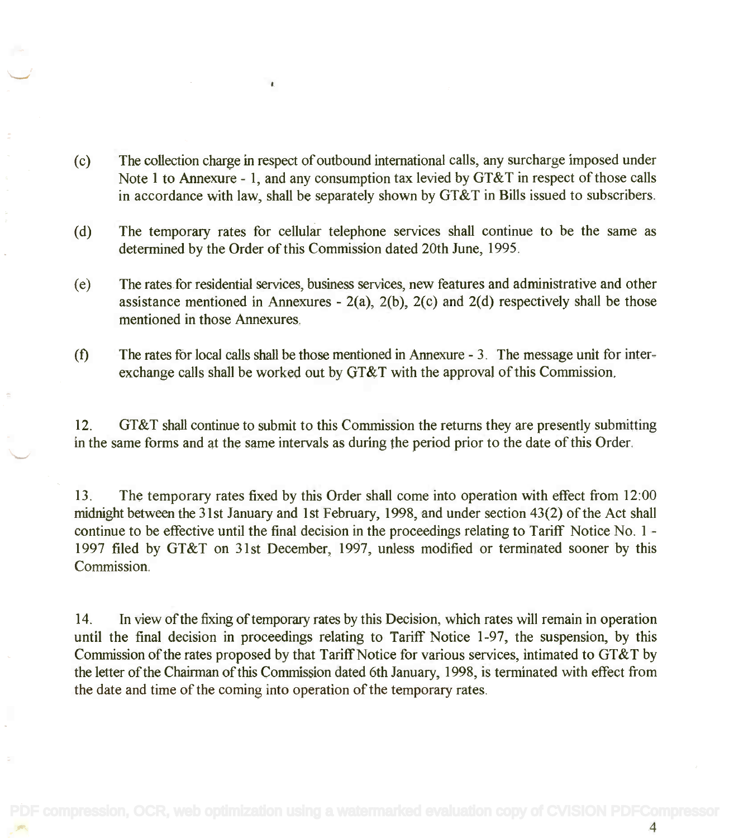(c) The collection charge in respect of outbound international calls, any surcharge imposed under (c) The collection charge in respect of outbound international calls, any surcharge imposed under Note 1 to Annexure - 1, and any consumption tax levied by GT&T in respect of those calls Note 1 to Annexure - 1, and any consumption tax levied by GT&T in respect of those calls in accordance with law, shall be separately shown by GT&T in Bills issued to subscribers. in accordance with law, shall be separately shown by GT&T in Bills issued to subscribers.

 $\mathbf{r}$ 

- (d) The temporary rates for cellular telephone services shall continue to be the same as (d) The temporary rates for cellular telephone services shall continue to be the same as determined by the Order of this Commission dated 20th June, 1995. determined by the Order of this Commission dated 20th June, 1995.
- (e) The rates for residential services, business services, new features and administrative and other (e) The rates for residential services, business services, new features and administrative and other assistance mentioned in Annexures - 2(a), 2(b), 2(c) and 2(d) respectively shall be those assistance mentioned in Annexures - 2(a), 2(b), 2(c) and 2(d) respectively shall be those mentioned in those Annexures. mentioned in those Annexures.
- (f) The rates for local calls shall be those mentioned in Annexure 3. The message unit for inter-(f) The rates for local calls shall be those mentioned in Annexure 3. The message unit for interexchange calls shall be worked out by GT&T with the approval of this Commission. exchange calls shall be worked out by GT&T with the approval of this Commission.

12. GT&T shall continue to submit to this Commission the returns they are presently submitting 12. GT&T shall continue to submit to this Commission the returns they are presently submitting in the same forms and at the same intervals as during the period prior to the date of this Order. in the same forms and at the same intervals as during the period prior to the date of this Order.

13. The temporary rates fixed by this Order shall come into operation with effect from 12:00 13. The temporary rates fixed by this Order shall come into operation with effect from 12:00 midnight between the 31st January and 1st February, 1998, and under section 43(2) of the Act shall midnight between the 31st January and 1st February, 1998, and under section 43(2) of the Act shall continue to be effective until the final decision in the proceedings relating to Tariff Notice No. 1 -1997 filed by GT&T on 31st December, 1997, unless modified or terminated sooner by this 1997 filed by GT&T on 31st December, 1997, unless modified or terminated sooner by this Commission. Commission.

14. In view of the fixing of temporary rates by this Decision, which rates will remain in operation 14. In view of the fixing of temporary rates by this Decision, which rates will remain in operation until the final decision in proceedings relating to Tariff Notice 1-97, the suspension, by this until the final decision in proceedings relating to Tariff Notice 1-97, the suspension, by this Commission of the rates proposed by that Tariff Notice for various services, intimated to GT&T by Commission of the rates proposed by that Tariff Notice for various services, intimated to GT&T by the letter of the Chairman of this Commission dated 6th January, 1998, is terminated with effect from the letter of the Chairman of this Commission dated 6th January, 1998, is terminated with effect from the date and time of the coming into operation of the temporary rates. the date and time of the coming into operation of the temporary rates.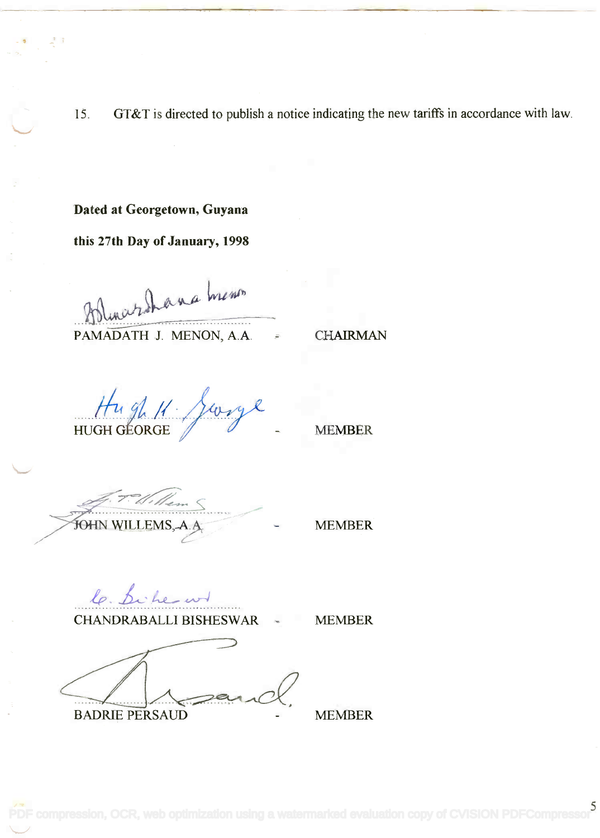15. GT&T is directed to publish a notice indicating the new tariffs in accordance with law.

### Dated at Georgetown, Guyana

this 27th Day of January, 1998

Mounieur  $Pbluurbhana$  men"

**PAMADATH J. MENON, A.A.** = CHAIRMAN

 $\frac{Hugh}{\sqrt{\frac{20}{9}}}}$ 

J. T. H. Rem

MEMBER

le. Sicherund CHANDRABALLI BISHESWAR - MEMBER

BADRIE PERSAUD - MEMBER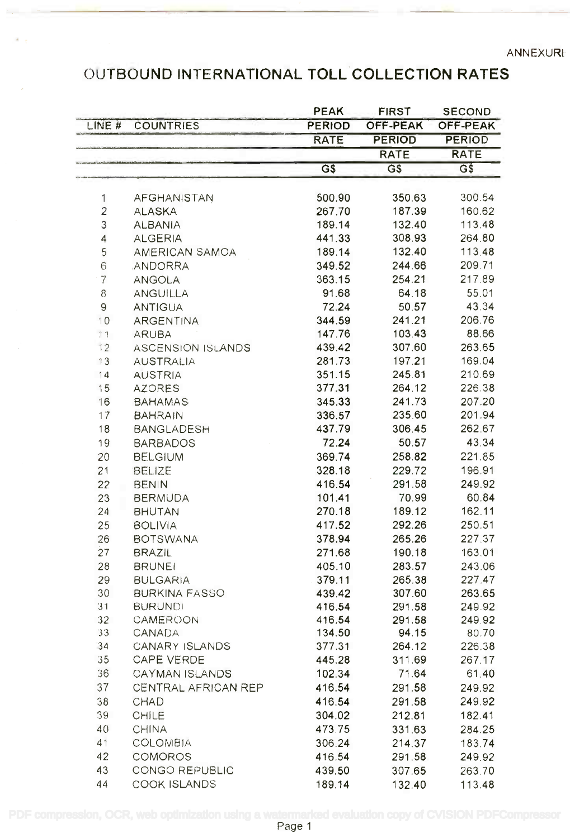### OUTBOUND INTERNATIONAL TOLL COLLECTION RATES OUTBOUND INTERNATIONAL TOLL COLLECTION RATES

|                 |                          | <b>PEAK</b>                | <b>FIRST</b>    | <b>SECOND</b>    |
|-----------------|--------------------------|----------------------------|-----------------|------------------|
| LINE #          | <b>COUNTRIES</b>         | <b>PERIOD</b>              | <b>OFF-PEAK</b> | OFF-PEAK         |
|                 |                          | <b>RATE</b>                | <b>PERIOD</b>   | <b>PERIOD</b>    |
|                 |                          |                            | <b>RATE</b>     | <b>RATE</b>      |
|                 |                          | $\overline{\mathsf{G}}$ \$ | G\$             | $\overline{G\$}$ |
|                 |                          |                            |                 |                  |
| $\mathbf{1}$    | AFGHANISTAN              | 500.90                     | 350.63          | 300.54           |
| $\overline{c}$  | <b>ALASKA</b>            | 267.70                     | 187.39          | 160.62           |
| 3               | <b>ALBANIA</b>           | 189.14                     | 132.40          | 113.48           |
| 4               | <b>ALGERIA</b>           | 441.33                     | 308.93          | 264.80           |
| 5               | AMERICAN SAMOA           | 189.14                     | 132.40          | 113.48           |
| 6               | ANDORRA                  | 349.52                     | 244.66          | 209.71           |
| $\overline{7}$  | <b>ANGOLA</b>            | 363.15                     | 254.21          | 217.89           |
| 8               | <b>ANGUILLA</b>          | 91.68                      | 64.18           | 55.01            |
| 9               | <b>ANTIGUA</b>           | 72.24                      | 50.57           | 43.34            |
| 10              | <b>ARGENTINA</b>         | 344.59                     | 241.21          | 206.76           |
| 11              | <b>ARUBA</b>             | 147.76                     | 103.43          | 88.66            |
| 12              | <b>ASCENSION ISLANDS</b> | 439.42                     | 307.60          | 263.65           |
| 13              | <b>AUSTRALIA</b>         | 281.73                     | 197.21          | 169.04           |
| 14              | <b>AUSTRIA</b>           | 351.15                     | 245.81          | 210.69           |
| 15              | <b>AZORES</b>            | 377.31                     | 264.12          | 226.38           |
| 16              | <b>BAHAMAS</b>           | 345.33                     | 241.73          | 207.20           |
| 17              | <b>BAHRAIN</b>           | 336.57                     | 235.60          | 201.94           |
| 18              | <b>BANGLADESH</b>        | 437.79                     | 306.45          | 262.67           |
|                 |                          | 72.24                      | 50.57           | 43.34            |
| 19              | <b>BARBADOS</b>          |                            |                 |                  |
| 20              | <b>BELGIUM</b>           | 369.74                     | 258.82          | 221.85           |
| 21              | BELIZE                   | 328.18                     | 229.72          | 196.91           |
| 22              | <b>BENIN</b>             | 416.54                     | 291.58          | 249.92           |
| 23              | <b>BERMUDA</b>           | 101.41                     | 70.99           | 60.84            |
| 24              | <b>BHUTAN</b>            | 270.18                     | 189.12          | 162.11           |
| 25              | <b>BOLIVIA</b>           | 417.52                     | 292.26          | 250.51           |
| 26              | <b>BOTSWANA</b>          | 378.94                     | 265.26          | 227.37           |
| 27              | <b>BRAZIL</b>            | 271.68                     | 190.18          | 163.01           |
| 28              | <b>BRUNEI</b>            | 405.10                     | 283.57          | 243.06           |
| 29              | <b>BULGARIA</b>          | 379.11                     | 265.38          | 227.47           |
| 30              | <b>BURKINA FASSO</b>     | 439.42                     | 307.60          | 263.65           |
| 31              | <b>BURUNDI</b>           | 416.54                     | 291.58          | 249.92           |
| 32 <sup>°</sup> | CAMEROON                 | 416.54                     | 291.58          | 249.92           |
| 33              | <b>CANADA</b>            | 134.50                     | 94.15           | 80.70            |
| 34              | CANARY ISLANDS           | 377.31                     | 264.12          | 226.38           |
| 35              | CAPE VERDE               | 445.28                     | 311.69          | 267.17           |
| 36              | CAYMAN ISLANDS           | 102.34                     | 71.64           | 61.40            |
| 37              | CENTRAL AFRICAN REP      | 416.54                     | 291.58          | 249.92           |
| 38              | <b>CHAD</b>              | 416.54                     | 291.58          | 249.92           |
| 39              | <b>CHILE</b>             | 304.02                     | 212.81          | 182.41           |
| 40              | CHINA                    | 473.75                     | 331.63          | 284.25           |
| 41              | <b>COLOMBIA</b>          | 306.24                     | 214.37          | 183.74           |
| 42              | <b>COMOROS</b>           | 416.54                     | 291.58          | 249.92           |
| 43              | CONGO REPUBLIC           | 439.50                     | 307.65          | 263.70           |
| 44              | COOK ISLANDS             | 189.14                     | 132.40          | 113.48           |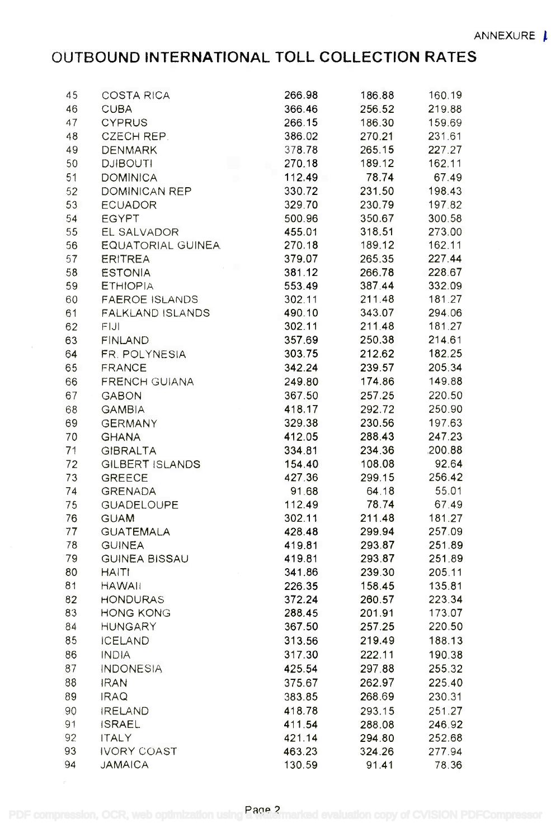# OUTBOUND INTERNATIONAL TOLL COLLECTION RATES **OUTBOUND INTERNATIONAL TOLL COLLECTION RATES**

| 45 | COSTA RICA<br>CUBA<br>CYPRUS<br>CZECH REP.<br>DENMARK<br>DJIBOUTI                                                                                                                                                                                                        | 266.98 | 186.88           | 160.19 |  |
|----|--------------------------------------------------------------------------------------------------------------------------------------------------------------------------------------------------------------------------------------------------------------------------|--------|------------------|--------|--|
| 46 |                                                                                                                                                                                                                                                                          | 366.46 | 256.52           | 219.88 |  |
| 47 |                                                                                                                                                                                                                                                                          | 266.15 | 186.30           | 159.69 |  |
| 48 |                                                                                                                                                                                                                                                                          | 386.02 | 270.21           | 231.61 |  |
| 49 |                                                                                                                                                                                                                                                                          | 378.78 | 265.15           | 227.27 |  |
| 50 |                                                                                                                                                                                                                                                                          | 270.18 | 189.12           | 162.11 |  |
| 51 | <b>DOMINICA</b><br><b>COL</b>                                                                                                                                                                                                                                            | 112.49 | 78.74            | 67.49  |  |
| 52 |                                                                                                                                                                                                                                                                          |        | 231.50           | 198.43 |  |
| 53 | DOMINICAN REP<br>DOMINICAN REP<br>ECUADOR 329.70<br>EGYPT 500.96<br>EL SALVADOR 455.01<br>EQUATORIAL GUINEA 270.18                                                                                                                                                       |        | 230.79           | 197.82 |  |
| 54 |                                                                                                                                                                                                                                                                          |        | 350.67           | 300.58 |  |
| 55 |                                                                                                                                                                                                                                                                          |        | 318.51           | 273.00 |  |
| 56 |                                                                                                                                                                                                                                                                          |        | 189.12           | 162.11 |  |
| 57 |                                                                                                                                                                                                                                                                          |        | 265.35           | 227.44 |  |
| 58 | ERITREA 379.07<br>ESTONIA 381.12<br>ETHIOPIA 553.49<br>FAEROE ISLANDS 302.11                                                                                                                                                                                             |        | 266.78           | 228.67 |  |
| 59 |                                                                                                                                                                                                                                                                          |        | 387.44           | 332.09 |  |
| 60 |                                                                                                                                                                                                                                                                          |        | 211.48           | 181.27 |  |
| 61 |                                                                                                                                                                                                                                                                          |        | 343.07           | 294.06 |  |
| 62 |                                                                                                                                                                                                                                                                          |        | 211.48           | 181.27 |  |
| 63 |                                                                                                                                                                                                                                                                          |        | 250.38           | 214.61 |  |
| 64 |                                                                                                                                                                                                                                                                          |        | 212.62           | 182.25 |  |
| 65 |                                                                                                                                                                                                                                                                          |        | 239.57           | 205.34 |  |
| 66 |                                                                                                                                                                                                                                                                          |        | 174.86           | 149.88 |  |
| 67 |                                                                                                                                                                                                                                                                          |        | 257.25           | 220.50 |  |
| 68 |                                                                                                                                                                                                                                                                          |        | 292.72           | 250.90 |  |
| 69 |                                                                                                                                                                                                                                                                          |        | 230.56           | 197.63 |  |
| 70 |                                                                                                                                                                                                                                                                          |        | 288.43           | 247.23 |  |
| 71 |                                                                                                                                                                                                                                                                          |        | 234.36           | 200.88 |  |
| 72 |                                                                                                                                                                                                                                                                          |        | 108.08           | 92.64  |  |
| 73 |                                                                                                                                                                                                                                                                          |        | 299.15           | 256.42 |  |
| 74 |                                                                                                                                                                                                                                                                          |        | 64.18            | 55.01  |  |
| 75 | FAEROE ISLANDS<br>FALKLAND ISLANDS<br>FINLAND ISLANDS<br>FR. POLYNESIA<br>FINLAND<br>FIJI 302.11<br>FINLAND<br>302.11<br>302.11<br>302.11<br>302.11<br>537.69<br>FR. POLYNESIA<br>367.50<br>303.75<br>FRANCE<br>342.24<br>303.75<br>412.24<br>303.75<br>GHANA 249.80<br> |        | 78.74            | 67.49  |  |
| 76 |                                                                                                                                                                                                                                                                          |        | 211.48           | 181.27 |  |
| 77 |                                                                                                                                                                                                                                                                          |        | 299.94           | 257.09 |  |
| 78 |                                                                                                                                                                                                                                                                          |        | 293.87           | 251.89 |  |
| 79 |                                                                                                                                                                                                                                                                          |        | 293.87           | 251.89 |  |
| 80 | <b>HAITI</b>                                                                                                                                                                                                                                                             | 341.86 | 239.30           | 205.11 |  |
| 81 | <b>HAWAII</b>                                                                                                                                                                                                                                                            | 226.35 | 158.45           | 135.81 |  |
| 82 | <b>HONDURAS</b>                                                                                                                                                                                                                                                          | 372.24 | 260.57           | 223.34 |  |
| 83 | <b>HONG KONG</b>                                                                                                                                                                                                                                                         | 288.45 | 201.91           | 173.07 |  |
| 84 | <b>HUNGARY</b>                                                                                                                                                                                                                                                           | 367.50 | 257.25           | 220.50 |  |
| 85 | <b>ICELAND</b>                                                                                                                                                                                                                                                           | 313.56 | 219.49           | 188.13 |  |
| 86 | <b>INDIA</b>                                                                                                                                                                                                                                                             | 317.30 | 222.11           | 190.38 |  |
| 87 | <b>INDONESIA</b>                                                                                                                                                                                                                                                         | 425.54 | 297.88           | 255.32 |  |
| 88 | <b>IRAN</b>                                                                                                                                                                                                                                                              | 375.67 | 262.97           | 225.40 |  |
| 89 | <b>IRAQ</b>                                                                                                                                                                                                                                                              | 383.85 | 268.69           | 230.31 |  |
| 90 | <b>IRELAND</b>                                                                                                                                                                                                                                                           | 418.78 |                  | 251.27 |  |
| 91 | <b>ISRAEL</b>                                                                                                                                                                                                                                                            | 411.54 | 293.15<br>288.08 | 246.92 |  |
| 92 | <b>ITALY</b>                                                                                                                                                                                                                                                             | 421.14 | 294.80           | 252.68 |  |
| 93 | <b>IVORY COAST</b>                                                                                                                                                                                                                                                       | 463.23 | 324.26           | 277.94 |  |
| 94 | <b>JAMAICA</b>                                                                                                                                                                                                                                                           | 130.59 | 91.41            | 78.36  |  |
|    |                                                                                                                                                                                                                                                                          |        |                  |        |  |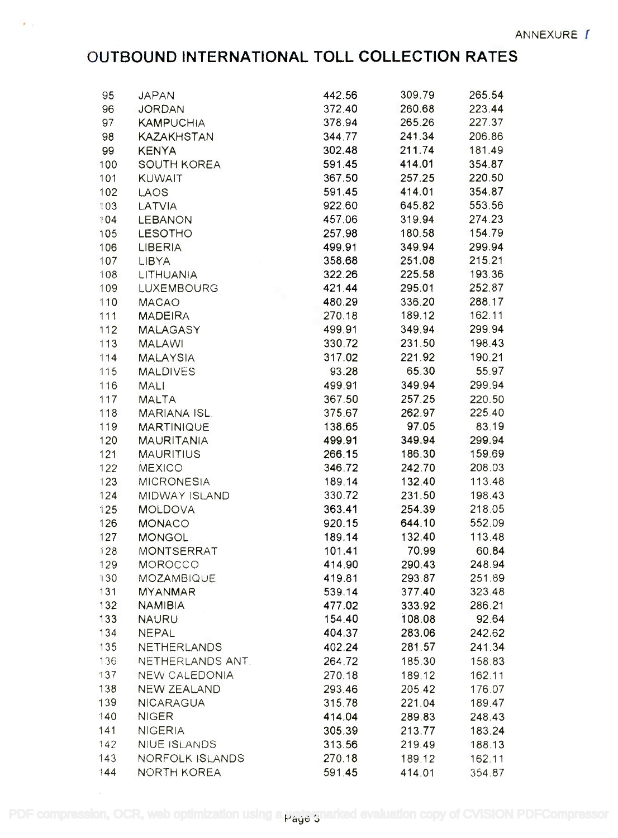# OUTBOUND INTERNATIONAL TOLL COLLECTION RATES **OUTBOUND INTERNATIONAL TOLL COLLECTION RATES**

 $\mathbf{p}=\frac{1}{2}$ 

| 95  | <b>JAPAN</b>        | 442.56 | 309.79 | 265.54 |  |
|-----|---------------------|--------|--------|--------|--|
| 96  | <b>JORDAN</b>       | 372.40 | 260.68 | 223.44 |  |
| 97  | <b>KAMPUCHIA</b>    | 378.94 | 265.26 | 227.37 |  |
| 98  | KAZAKHSTAN          | 344.77 | 241.34 | 206.86 |  |
| 99  | <b>KENYA</b>        | 302.48 | 211.74 | 181.49 |  |
| 100 | SOUTH KOREA         | 591.45 | 414.01 | 354.87 |  |
| 101 | <b>KUWAIT</b>       | 367.50 | 257.25 | 220.50 |  |
| 102 | LAOS                | 591.45 | 414.01 | 354.87 |  |
| 103 | <b>LATVIA</b>       | 922.60 | 645.82 | 553.56 |  |
| 104 | LEBANON             | 457.06 | 319.94 | 274.23 |  |
| 105 | LESOTHO             | 257.98 | 180.58 | 154.79 |  |
| 106 | LIBERIA             | 499.91 | 349.94 | 299.94 |  |
| 107 | LIBYA               | 358.68 | 251.08 | 215.21 |  |
| 108 | LITHUANIA           | 322.26 | 225.58 | 193.36 |  |
| 109 | LUXEMBOURG          | 421.44 | 295.01 | 252.87 |  |
| 110 | <b>MACAO</b>        | 480.29 | 336.20 | 288.17 |  |
| 111 |                     | 270.18 | 189.12 | 162.11 |  |
| 112 | MADEIRA<br>MALAGASY | 499.91 | 349.94 | 299.94 |  |
| 113 | <b>MALAWI</b>       | 330.72 | 231.50 | 198.43 |  |
| 114 | <b>MALAYSIA</b>     | 317.02 | 221.92 | 190.21 |  |
| 115 |                     | 93.28  | 65.30  | 55.97  |  |
|     | <b>MALDIVES</b>     | 499.91 | 349.94 | 299.94 |  |
| 116 | <b>MALI</b>         |        |        |        |  |
| 117 | <b>MALTA</b>        | 367.50 | 257.25 | 220.50 |  |
| 118 | MARIANA ISL.        | 375.67 | 262.97 | 225.40 |  |
| 119 | <b>MARTINIQUE</b>   | 138.65 | 97.05  | 83.19  |  |
| 120 | <b>MAURITANIA</b>   | 499.91 | 349.94 | 299.94 |  |
| 121 | <b>MAURITIUS</b>    | 266.15 | 186.30 | 159.69 |  |
| 122 | <b>MEXICO</b>       | 346.72 | 242.70 | 208.03 |  |
| 123 | <b>MICRONESIA</b>   | 189.14 | 132.40 | 113.48 |  |
| 124 | MIDWAY ISLAND       | 330.72 | 231.50 | 198.43 |  |
| 125 | <b>MOLDOVA</b>      | 363.41 | 254.39 | 218.05 |  |
| 126 | <b>MONACO</b>       | 920.15 | 644.10 | 552.09 |  |
| 127 | <b>MONGOL</b>       | 189.14 | 132.40 | 113.48 |  |
| 128 | MONTSERRAT          | 101.41 | 70.99  | 60.84  |  |
| 129 | <b>MOROCCO</b>      | 414.90 | 290.43 | 248.94 |  |
| 130 | MOZAMBIQUE          | 419.81 | 293.87 | 251.89 |  |
| 131 | <b>MYANMAR</b>      | 539.14 | 377.40 | 323.48 |  |
| 132 | <b>NAMIBIA</b>      | 477.02 | 333.92 | 286.21 |  |
| 133 | <b>NAURU</b>        | 154.40 | 108.08 | 92.64  |  |
| 134 | <b>NEPAL</b>        | 404.37 | 283.06 | 242.62 |  |
| 135 | <b>NETHERLANDS</b>  | 402.24 | 281.57 | 241.34 |  |
| 136 | NETHERLANDS ANT.    | 264.72 | 185.30 | 158.83 |  |
| 137 | NEW CALEDONIA       | 270.18 | 189.12 | 162.11 |  |
| 138 | NEW ZEALAND         | 293.46 | 205.42 | 176.07 |  |
| 139 | <b>NICARAGUA</b>    | 315.78 | 221.04 | 189.47 |  |
| 140 | <b>NIGER</b>        | 414.04 | 289.83 | 248.43 |  |
| 141 | <b>NIGERIA</b>      | 305.39 | 213.77 | 183.24 |  |
| 142 | <b>NIUE ISLANDS</b> | 313.56 | 219.49 | 188.13 |  |
| 143 | NORFOLK ISLANDS     | 270.18 | 189.12 | 162.11 |  |
| 144 | <b>NORTH KOREA</b>  | 591.45 | 414.01 | 354.87 |  |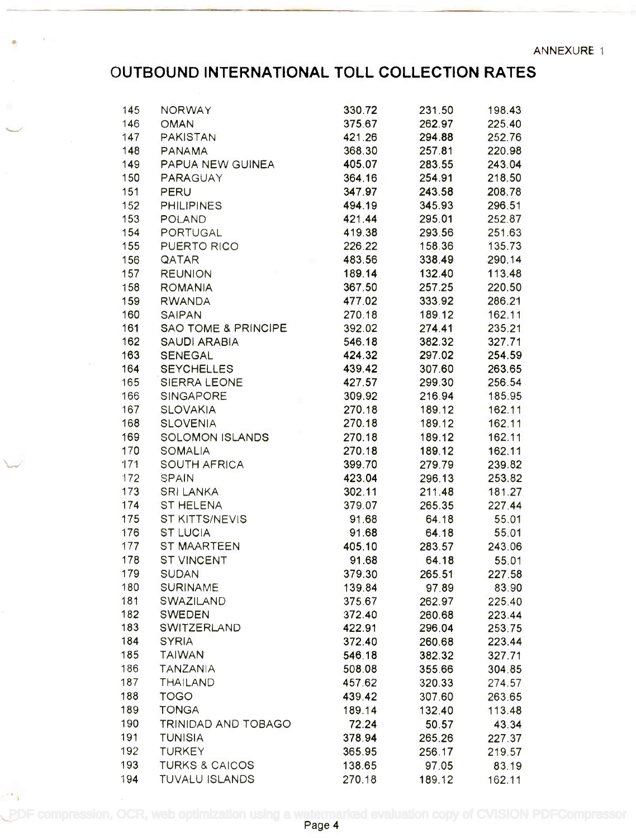### OUTBOUND INTERNATIONAL TOLL COLLECTION RATES **OUTBOUND INTERNATIONAL TOll COLLECTION RATES**

 $\sim$ 

 $\sim$   $\sim$ 

| 145 | <b>NORWAY</b>                                                                                               | 330.72                                                                     | 231.50 | 198.43 |  |
|-----|-------------------------------------------------------------------------------------------------------------|----------------------------------------------------------------------------|--------|--------|--|
| 146 | <b>OMAN</b>                                                                                                 | 375.67                                                                     | 262.97 | 225.40 |  |
| 147 | PAKISTAN                                                                                                    | 421.26                                                                     | 294.88 | 252.76 |  |
| 148 | <b>PANAMA</b>                                                                                               | 368.30                                                                     | 257.81 | 220.98 |  |
| 149 | PAPUA NEW GUINEA                                                                                            | 405.07                                                                     | 283.55 | 243.04 |  |
| 150 | PARAGUAY                                                                                                    | 364.16                                                                     | 254.91 | 218.50 |  |
| 151 |                                                                                                             | 347.97                                                                     | 243.58 | 208.78 |  |
| 152 | <b>PHILIPINES</b>                                                                                           | 494.19                                                                     | 345.93 | 296.51 |  |
| 153 |                                                                                                             | 421.44                                                                     | 295.01 | 252.87 |  |
| 154 | PORTUGAL                                                                                                    | 419.38                                                                     | 293.56 | 251.63 |  |
| 155 | PERU<br>PHILIPINES<br>POLAND<br>PORTUGAL<br>PUERTO RICO                                                     | 226.22                                                                     | 158.36 | 135.73 |  |
| 156 |                                                                                                             | 483.56                                                                     | 338.49 | 290.14 |  |
| 157 | $\sim 10^{-10}$<br><b>REUNION</b>                                                                           | 189.14                                                                     | 132.40 | 113.48 |  |
| 158 | <b>ROMANIA</b>                                                                                              | $\begin{array}{r} 189.14 \\ 367.50 \\ 477.02 \\ \hline 270.48 \end{array}$ | 257.25 | 220.50 |  |
| 159 | <b>RWANDA</b>                                                                                               |                                                                            | 333.92 | 286.21 |  |
| 160 | <b>SAIPAN</b>                                                                                               |                                                                            | 189.12 | 162.11 |  |
| 161 | SAO TOME & PRINCIPE 392.02                                                                                  |                                                                            | 274.41 | 235.21 |  |
| 162 |                                                                                                             |                                                                            | 382.32 | 327.71 |  |
| 163 |                                                                                                             |                                                                            | 297.02 | 254.59 |  |
| 164 |                                                                                                             | 439.42                                                                     | 307.60 | 263.65 |  |
| 165 |                                                                                                             |                                                                            | 299.30 | 256.54 |  |
| 166 |                                                                                                             |                                                                            | 216.94 | 185.95 |  |
| 167 | <b>SLOVAKIA</b>                                                                                             | 270.18                                                                     | 189.12 | 162.11 |  |
| 168 | <b>SLOVENIA</b>                                                                                             | 270.18                                                                     | 189.12 | 162.11 |  |
| 169 |                                                                                                             | 270.18                                                                     | 189.12 | 162.11 |  |
| 170 |                                                                                                             | 270.18                                                                     |        | 162.11 |  |
| 171 |                                                                                                             | 399.70                                                                     | 189.12 |        |  |
|     |                                                                                                             |                                                                            | 279.79 | 239.82 |  |
| 172 | SLOVENIA<br>SOLOMON ISLANDS<br>SOMALIA<br>SOUTH AFRICA<br>SPAIN<br>SRI LANKA<br>ST HELENA<br>ST KITTS/NEVIS | 423.04                                                                     | 296.13 | 253.82 |  |
| 173 |                                                                                                             | 302.11                                                                     | 211.48 | 181.27 |  |
| 174 |                                                                                                             | 379.07                                                                     | 265.35 | 227.44 |  |
| 175 |                                                                                                             | 91.68                                                                      | 64.18  | 55.01  |  |
| 176 | <b>ST LUCIA</b>                                                                                             | 91.68                                                                      | 64.18  | 55.01  |  |
| 177 | ST MAARTEEN                                                                                                 | 405.10                                                                     | 283.57 | 243.06 |  |
| 178 | <b>ST VINCENT</b>                                                                                           | 91.68                                                                      | 64.18  | 55.01  |  |
| 179 | <b>SUDAN</b>                                                                                                | 379.30                                                                     | 265.51 | 227.58 |  |
| 180 | <b>SURINAME</b>                                                                                             | 139.84                                                                     | 97.89  | 83.90  |  |
| 181 | SWAZILAND                                                                                                   | 375.67                                                                     | 262.97 | 225.40 |  |
| 182 | <b>SWEDEN</b>                                                                                               | 372.40                                                                     | 260.68 | 223.44 |  |
| 183 | SWITZERLAND                                                                                                 | 422.91                                                                     | 296.04 | 253.75 |  |
| 184 | <b>SYRIA</b>                                                                                                | 372.40                                                                     | 260.68 | 223.44 |  |
| 185 | <b>TAIWAN</b>                                                                                               | 546.18                                                                     | 382.32 | 327.71 |  |
| 186 | <b>TANZANIA</b>                                                                                             | 508.08                                                                     | 355.66 | 304.85 |  |
| 187 | THAILAND                                                                                                    | 457.62                                                                     | 320.33 | 274.57 |  |
| 188 | <b>TOGO</b>                                                                                                 | 439.42                                                                     | 307.60 | 263.65 |  |
| 189 | <b>TONGA</b>                                                                                                | 189.14                                                                     | 132.40 | 113.48 |  |
| 190 | TRINIDAD AND TOBAGO                                                                                         | 72.24                                                                      | 50.57  | 43.34  |  |
| 191 | <b>TUNISIA</b>                                                                                              | 378.94                                                                     | 265.26 | 227.37 |  |
| 192 | <b>TURKEY</b>                                                                                               | 365.95                                                                     | 256.17 | 219.57 |  |
| 193 | <b>TURKS &amp; CAICOS</b>                                                                                   | 138.65                                                                     | 97.05  | 83.19  |  |
| 194 | <b>TUVALU ISLANDS</b>                                                                                       | 270.18                                                                     | 189.12 | 162.11 |  |

[PDF compression, OCR, web optimization using a watermarked evaluation copy of CVISION PDFCompressor](http://www.cvisiontech.com)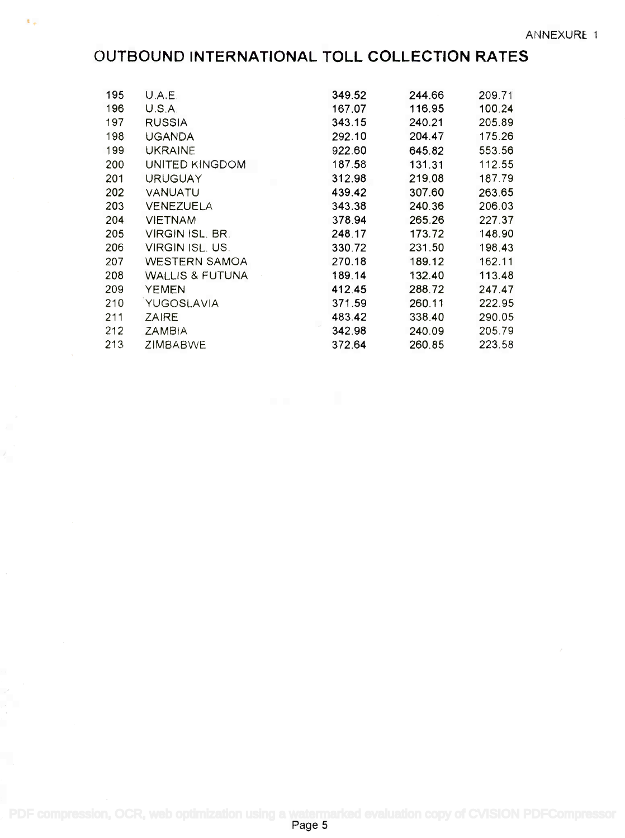# OUTBOUND INTERNATIONAL TOLL COLLECTION RATES

 $\mathbf{E}_{\mathrm{eff}}$ 

| 195 | U.A.E.                           | 349.52 | 244.66 | 209.71 |
|-----|----------------------------------|--------|--------|--------|
| 196 | U.S.A.                           | 167.07 | 116.95 | 100.24 |
| 197 | <b>RUSSIA</b>                    | 343.15 | 240.21 | 205.89 |
| 198 | <b>UGANDA</b>                    | 292.10 | 204.47 | 175.26 |
| 199 | <b>UKRAINE</b>                   | 922.60 | 645.82 | 553.56 |
| 200 | UNITED KINGDOM                   | 187.58 | 131.31 | 112.55 |
| 201 | <b>URUGUAY</b><br><b>COLLEGE</b> | 312.98 | 219.08 | 187.79 |
| 202 | VANUATU                          | 439.42 | 307.60 | 263.65 |
| 203 | VENEZUELA                        | 343.38 | 240.36 | 206.03 |
| 204 | <b>VIETNAM</b>                   | 378.94 | 265.26 | 227.37 |
| 205 | VIRGIN ISL, BR.                  | 248.17 | 173.72 | 148.90 |
| 206 | VIRGIN ISL. US.                  | 330.72 | 231.50 | 198.43 |
| 207 | WESTERN SAMOA                    | 270.18 | 189.12 | 162.11 |
| 208 | WALLIS & FUTUNA                  | 189.14 | 132.40 | 113.48 |
| 209 | <b>YEMEN</b>                     | 412.45 | 288.72 | 247.47 |
| 210 | YUGOSLAVIA                       | 371.59 | 260.11 | 222.95 |
| 211 | <b>ZAIRE</b>                     | 483.42 | 338.40 | 290.05 |
| 212 | <b>ZAMBIA</b>                    | 342.98 | 240.09 | 205.79 |
| 213 | <b>ZIMBABWE</b>                  | 372.64 | 260.85 | 223.58 |

[PDF compression, OCR, web optimization using a watermarked evaluation copy of CVISION PDFCompressor](http://www.cvisiontech.com)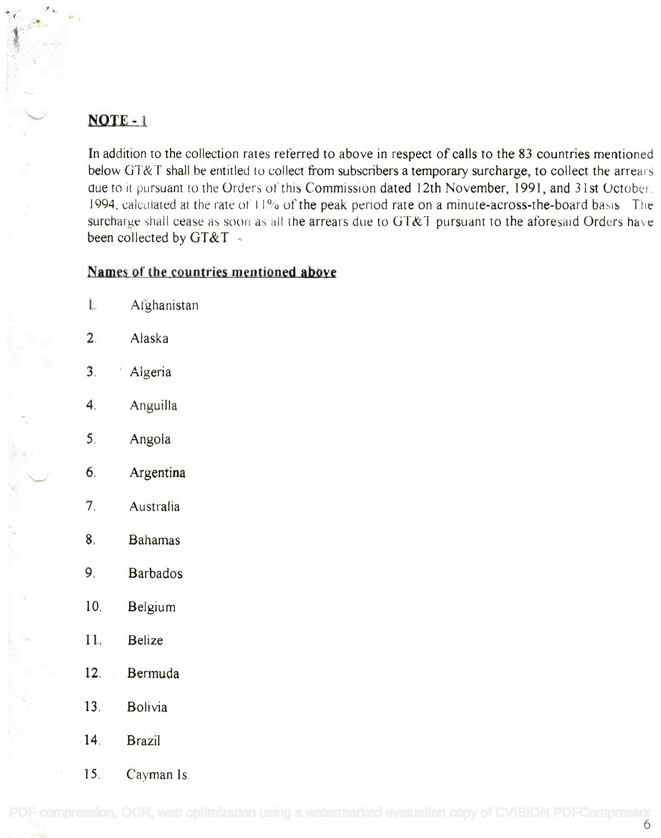### NOTE-1

~ . A *i' '::..*  $\cdot$  .

> In addition to the collection rates referred to above in respect of calls to the 83 countries mentioned **In** addition to the collection rates referred to above in respect of calls to the 83 countries mentioned below GT&T shall be entitled to collect from subscribers a temporary surcharge, to collect the arrears due to it pursuant to the Orders of this Commission dated 12th November, 1991, and 31st October, 1994, calculated at the rate of  $11\%$  of the peak period rate on a minute-across-the-board basis. The surcharge shall cease as soon as all the arrears due to GT&T pursuant to the aforesaid Orders have been collected by  $G T\&T$  -

#### Names of the countries mentioned above

1. Afghanistan 1. Afghanistan 2. Alaska 2. Alaska 3. Algeria 3. ' Algeria 4. Anguilla 4. Anguilla 5. Angola 5. Angola 6. Argentina 6. Argentina 7. Australia 7. Australia 8. Bahamas 8. Bahamas 9. Barbados 9. Barbados 10. Belgium 10. Belgium 11. Belize 11. Belize 12. Bermuda 12. Bermuda 13. Bolivia 13. Bolivia

14. Brazil .14. Brazil

15. Cayman Is. 15. Cayman Is.

[PDF compression, OCR, web optimization using a watermarked evaluation copy of CVISION PDFCompressor](http://www.cvisiontech.com)<br>6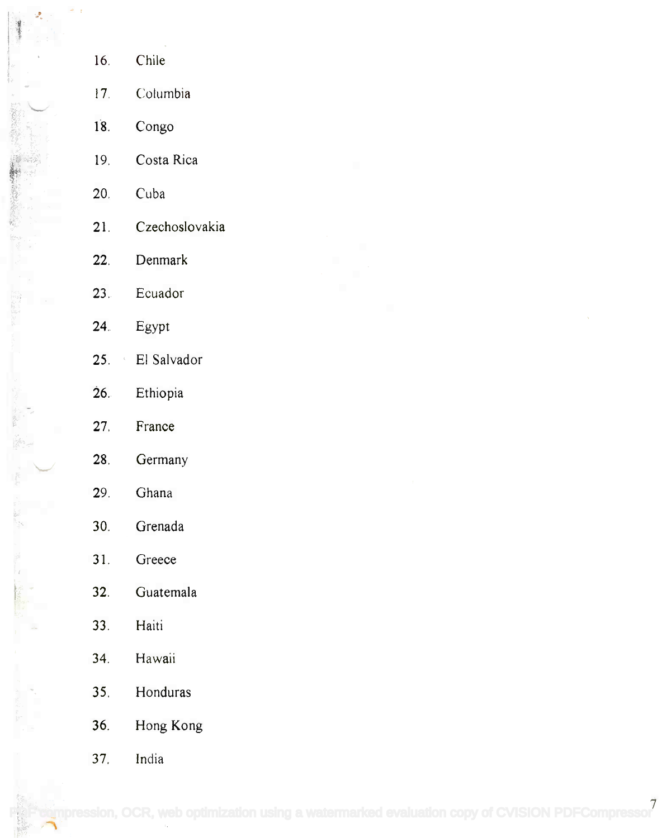| 16.             | Chile           |
|-----------------|-----------------|
| 17 <sub>1</sub> | Columbia        |
| 18.             | Congo           |
| 19.             | Costa Rica      |
| 20 <sub>1</sub> | Cuba            |
| 21.             | Czechoslovakia  |
| 22.             | Denmark         |
| 23 <sub>1</sub> | Ecuador         |
| 24.             | Egypt           |
|                 | 25. El Salvador |
| 26.             | Ethiopia        |
| 27.             | France          |
| 28.             | Germany         |
| 29.             | Ghana           |
| 30.             | Grenada         |
| 31.             | Greece          |
| 32.             | Guatemala       |
| 33.             | Haiti           |
| 34.             | Hawaii          |
| 35.             | Honduras        |
| 36.             | Hong Kong       |
| 37.             | India           |

 $\mathcal{G}_\ell$ 

 $\frac{1}{\pi}$  .

 $\frac{1}{\alpha_{\rm{B}}}$ 

"第三点题,一篇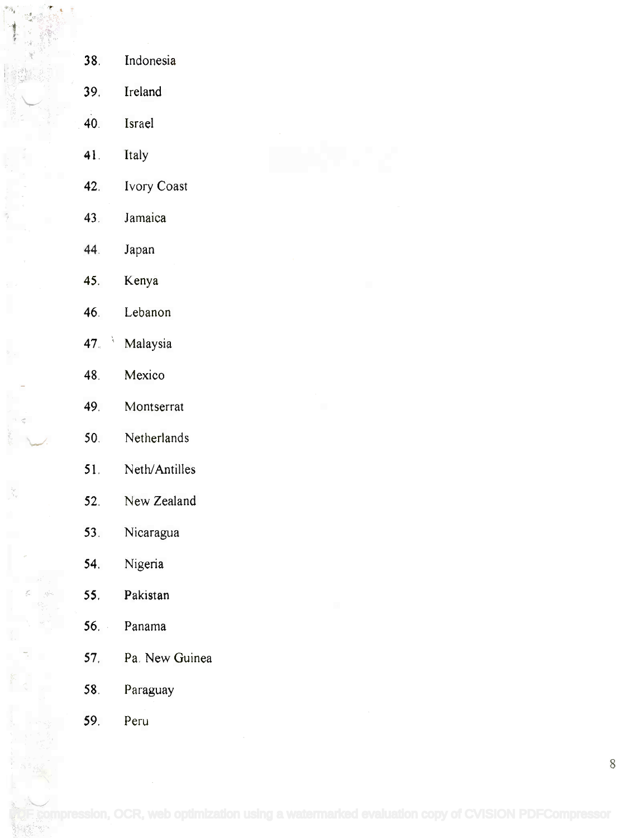| 38.       | Indonesia      |
|-----------|----------------|
| 39.       | Ireland        |
| 40.       | Israel         |
| 41.       | Italy          |
| 42.       | Ivory Coast    |
| 43.       | Jamaica        |
| 44.       | Japan          |
| 45.       | Kenya          |
| 46.       | Lebanon        |
| À.<br>47. | Malaysia       |
| 48.       | Mexico         |
| 49.       | Montserrat     |
| 50.       | Netherlands    |
| 51.       | Neth/Antilles  |
| 52.       | New Zealand    |
| 53.       | Nicaragua      |
| 54.       | Nigeria        |
| 55.       | Pakistan       |
|           | 56. Panama     |
| 57.       | Pa. New Guinea |
| 58.       | Paraguay       |
| 59.       | Peru           |

! ; ; ; ; ; ; ;

řy<br>Tr

 $\begin{bmatrix} \mathbf{w}_{i_1} \\ \mathbf{w}_{i_2} \end{bmatrix}$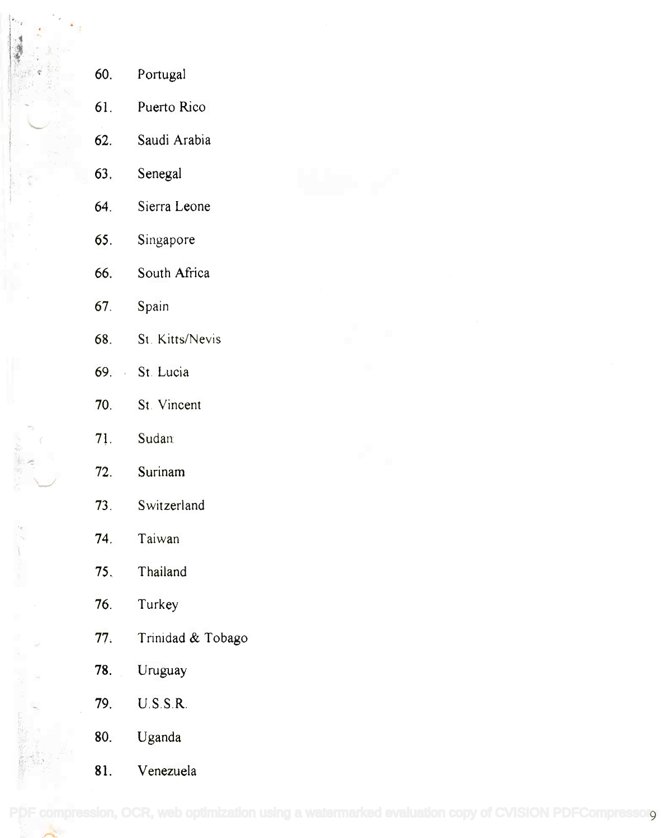| 60.             | Portugal          |  |
|-----------------|-------------------|--|
| 61.             | Puerto Rico       |  |
| 62.             | Saudi Arabia      |  |
| 63.             | Senegal           |  |
| 64.             | Sierra Leone      |  |
| 65.             | Singapore         |  |
| 66.             | South Africa      |  |
| 67.             | Spain             |  |
| 68.             | St. Kitts/Nevis   |  |
| 69.             | St. Lucia         |  |
| 70.             | St. Vincent       |  |
| 71.             | Sudan             |  |
| 72.             | Surinam           |  |
| 73.             | Switzerland       |  |
| 74.             | Taiwan            |  |
| 75 <sub>1</sub> | Thailand          |  |
| 76.             | Turkey            |  |
| 77.             | Trinidad & Tobago |  |
| 78.             | Uruguay           |  |
| 79.             | U.S.S.R.          |  |
| 80.             | Uganda            |  |
| 81.             | Venezuela         |  |

 $\left| \begin{array}{cc} \star_{e_{T_E}} & \ & \star \end{array} \right|$ 

-.

,~J *~;j/"*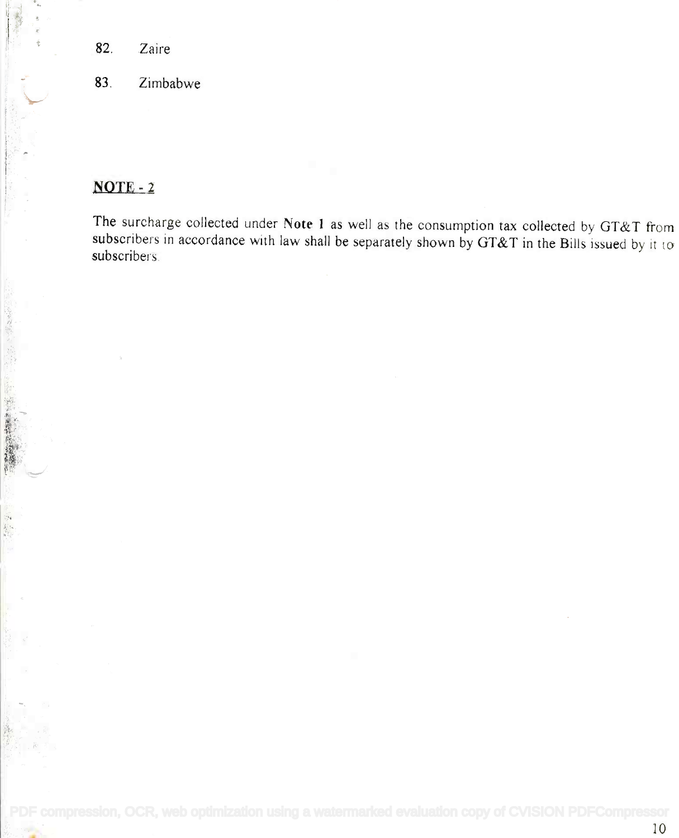- 82. Zaire
- 83. Zimbabwe

### NOTE-2

(2) 大地震 不可能

The surcharge collected under Note 1 as well as the consumption tax collected by GT&T from The surcharge collected under **Note I** as well as the consumption tax collected by GT&T from subscribers in accordance with law shall be separately shown by *GT&T* in the Bills issued by it to subscribers. subscribers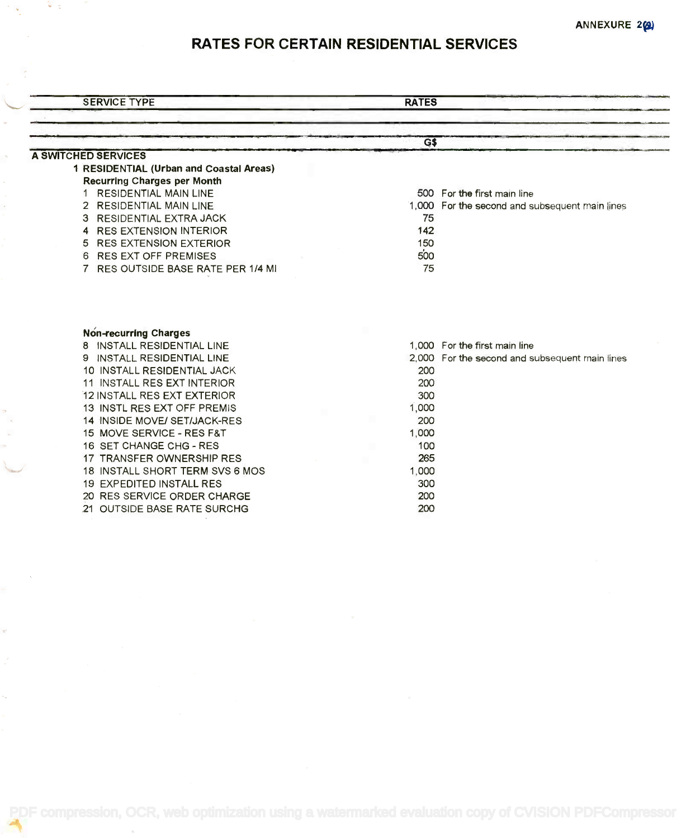# RATES FOR CERTAIN RESIDENTIAL SERVICES

| <b>SERVICE TYPE</b>                                     | <b>RATES</b>                                   |
|---------------------------------------------------------|------------------------------------------------|
|                                                         |                                                |
| A SWITCHED SERVICES                                     | G\$                                            |
| 1 RESIDENTIAL (Urban and Coastal Areas)                 |                                                |
| <b>Recurring Charges per Month</b>                      |                                                |
| <b>RESIDENTIAL MAIN LINE</b><br>1                       | 500 For the first main line                    |
| 2 RESIDENTIAL MAIN LINE                                 | 1,000 For the second and subsequent main lines |
| <b>RESIDENTIAL EXTRA JACK</b><br>з                      | 75                                             |
| <b>RES EXTENSION INTERIOR</b><br>4                      | 142                                            |
| <b>RES EXTENSION EXTERIOR</b><br>5                      | 150                                            |
| <b>RES EXT OFF PREMISES</b><br>6                        | 500                                            |
| RES OUTSIDE BASE RATE PER 1/4 MI                        | 75                                             |
|                                                         |                                                |
| <b>Non-recurring Charges</b>                            |                                                |
| 8 INSTALL RESIDENTIAL LINE                              | 1,000 For the first main line                  |
| INSTALL RESIDENTIAL LINE<br>9.                          | 2,000 For the second and subsequent main lines |
| 10 INSTALL RESIDENTIAL JACK                             | 200                                            |
| 11 INSTALL RES EXT INTERIOR                             | 200                                            |
| 12 INSTALL RES EXT EXTERIOR                             | 300                                            |
| 13 INSTL RES EXT OFF PREMIS                             | 1,000                                          |
| 14 INSIDE MOVE/ SET/JACK-RES                            | 200                                            |
| 15 MOVE SERVICE - RES F&T                               | 1,000                                          |
| 16 SET CHANGE CHG - RES                                 | 100                                            |
| 17 TRANSFER OWNERSHIP RES                               | 265                                            |
| 18 INSTALL SHORT TERM SVS 6 MOS                         | 1,000                                          |
| 19 EXPEDITED INSTALL RES<br>20 RES SERVICE ORDER CHARGE | 300<br>200                                     |

[PDF compression, OCR, web optimization using a watermarked evaluation copy of CVISION PDFCompressor](http://www.cvisiontech.com)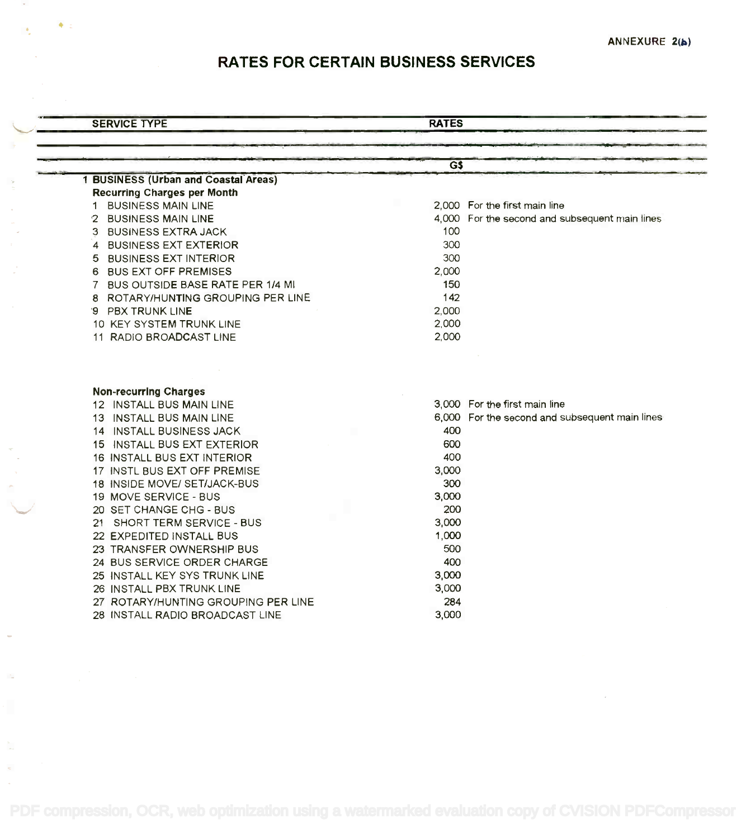# RATES FOR CERTAIN BUSINESS SERVICES

| <b>SERVICE TYPE</b> | <b>RATES</b> |
|---------------------|--------------|
|                     |              |

|                                             | GS    |                                                |
|---------------------------------------------|-------|------------------------------------------------|
| <b>1 BUSINESS (Urban and Coastal Areas)</b> |       |                                                |
| <b>Recurring Charges per Month</b>          |       |                                                |
| 1 BUSINESS MAIN LINE                        |       | 2.000 For the first main line                  |
| 2 BUSINESS MAIN LINE                        |       | 4,000 For the second and subsequent main lines |
| 3 BUSINESS EXTRA JACK                       | 100   |                                                |
| 4 BUSINESS EXT EXTERIOR                     | 300   |                                                |
| 5 BUSINESS EXT INTERIOR                     | 300   |                                                |
| 6 BUS EXT OFF PREMISES                      | 2,000 |                                                |
| 7 BUS OUTSIDE BASE RATE PER 1/4 MI          | 150   |                                                |
| 8 ROTARY/HUNTING GROUPING PER LINE          | 142   |                                                |
| 9 PBX TRUNK LINE                            | 2.000 |                                                |
| 10 KEY SYSTEM TRUNK LINE                    | 2,000 |                                                |
| 11 RADIO BROADCAST LINE                     | 2,000 |                                                |
| <b>Non-recurring Charges</b>                |       |                                                |
| 12 INSTALL BUS MAIN LINE                    |       | 3,000 For the first main line                  |
| 13 INSTALL BUS MAIN LINE                    |       | 6,000 For the second and subsequent main lines |
| 14 INSTALL BUSINESS JACK                    | 400   |                                                |
| 15 INSTALL BUS EXT EXTERIOR                 | 600   |                                                |
| 16 INSTALL BUS EXT INTERIOR                 | 400   |                                                |
| 17 INSTL BUS EXT OFF PREMISE                | 3,000 |                                                |
| 18 INSIDE MOVE/ SET/JACK-BUS                | 300   |                                                |
| 19 MOVE SERVICE - BUS                       | 3,000 |                                                |
| 20 SET CHANGE CHG - BUS                     | 200   |                                                |
| 21 SHORT TERM SERVICE - BUS                 | 3.000 |                                                |
| 22 EXPEDITED INSTALL BUS                    | 1,000 |                                                |
| 23 TRANSFER OWNERSHIP BUS                   | 500   |                                                |
| 24 BUS SERVICE ORDER CHARGE                 | 400   |                                                |
| 25 INSTALL KEY SYS TRUNK LINE               | 3,000 |                                                |
| 26 INSTALL PBX TRUNK LINE                   | 3,000 |                                                |
| 27 ROTARY/HUNTING GROUPING PER LINE         | 284   |                                                |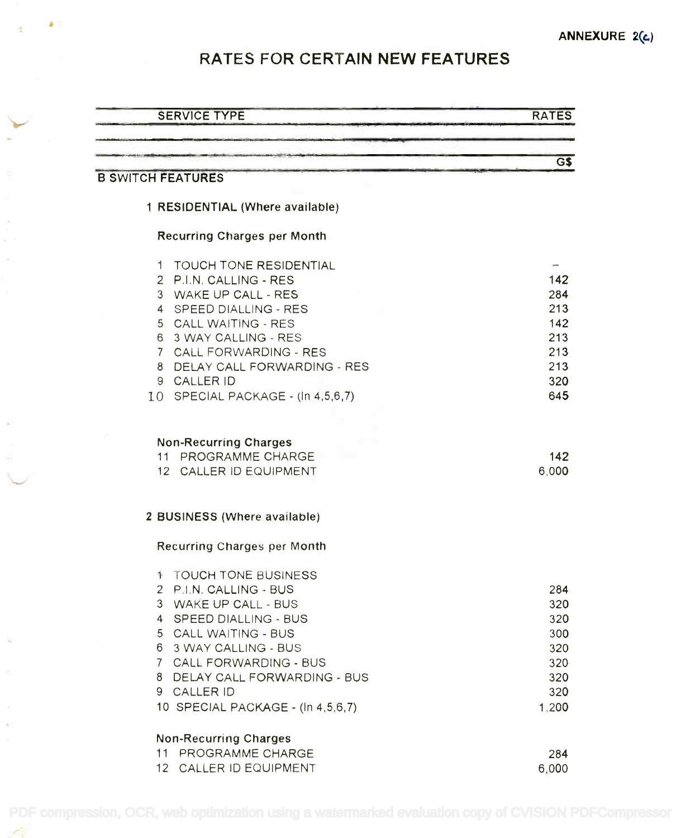# RATES FOR CERTAIN NEW FEATURES

 $\delta$  :

| <b>SERVICE TYPE</b>                           | <b>RATES</b> |
|-----------------------------------------------|--------------|
|                                               |              |
|                                               | $G\$         |
| <b>B SWITCH FEATURES</b>                      |              |
| 1 RESIDENTIAL (Where available)               |              |
| <b>Recurring Charges per Month</b>            |              |
| TOUCH TONE RESIDENTIAL<br>1.                  |              |
| 2 P.I.N. CALLING - RES                        | 142          |
| 3 WAKE UP CALL - RES                          | 284          |
| 4 SPEED DIALLING - RES                        | 213          |
| 5 CALL WAITING - RES                          | 142          |
| 6 3 WAY CALLING - RES                         | 213          |
| 7 CALL FORWARDING - RES                       | 213          |
| 8 DELAY CALL FORWARDING - RES                 | 213          |
| 9 CALLER ID                                   | 320          |
| 10 SPECIAL PACKAGE - (In 4,5,6,7)             | 645          |
| 11 PROGRAMME CHARGE<br>12 CALLER ID EQUIPMENT | 142<br>6,000 |
| 2 BUSINESS (Where available)                  |              |
| Recurring Charges per Month                   |              |
| <b>1 TOUCH TONE BUSINESS</b>                  |              |
| 2 P.I.N. CALLING - BUS                        | 284          |
| 3 WAKE UP CALL - BUS                          | 320          |
| 4 SPEED DIALLING - BUS                        | 320          |
| 5 CALL WAITING - BUS                          | 300          |
| 6 3 WAY CALLING - BUS                         | 320          |
| 7 CALL FORWARDING - BUS                       | 320          |
| 8 DELAY CALL FORWARDING - BUS                 | 320          |
| 9 CALLER ID                                   | 320          |
| 10 SPECIAL PACKAGE - (In 4,5,6,7)             | 1,200        |
| <b>Non-Recurring Charges</b>                  |              |
| 11 PROGRAMME CHARGE                           | 284          |
| 12 CALLER ID EQUIPMENT                        | 6,000        |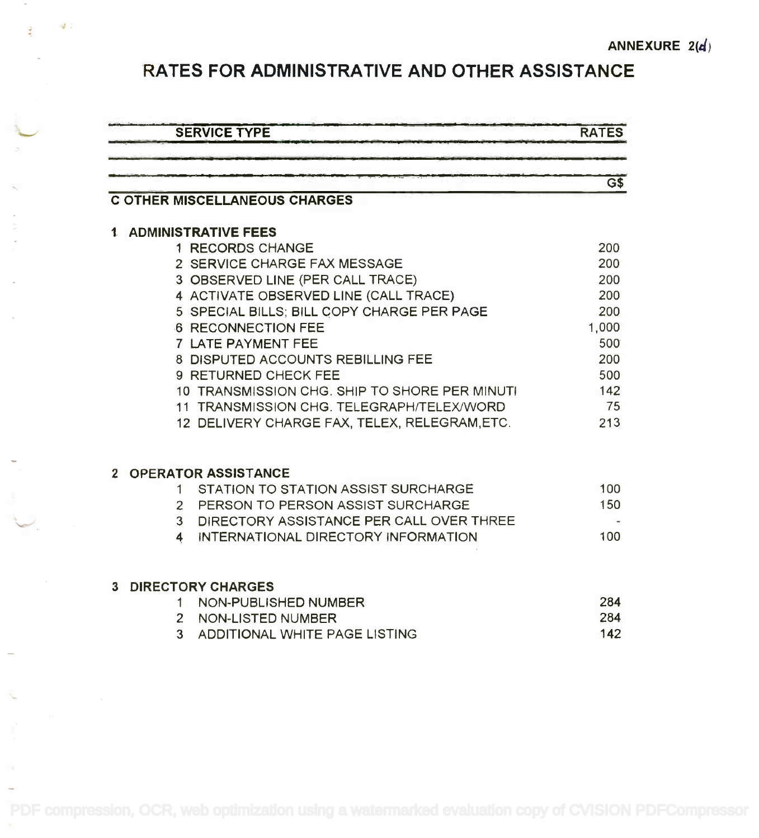### RATES FOR ADMINISTRATIVE AND OTHER ASSISTANCE RATES FOR ADMINISTRATIVE AND OTHER ASSISTANCE

.'

ğ

 $\mathcal{J}$  :

-'

|   | <b>SERVICE TYPE</b>                           | <b>RATES</b>                                 |
|---|-----------------------------------------------|----------------------------------------------|
|   |                                               |                                              |
|   |                                               | $\overline{\mathsf{G}}\overline{\mathsf{S}}$ |
|   | <b>C OTHER MISCELLANEOUS CHARGES</b>          |                                              |
|   | <b>1 ADMINISTRATIVE FEES</b>                  |                                              |
|   | 1 RECORDS CHANGE                              | 200                                          |
|   | 2 SERVICE CHARGE FAX MESSAGE                  | 200                                          |
|   | 3 OBSERVED LINE (PER CALL TRACE)              | 200                                          |
|   | 4 ACTIVATE OBSERVED LINE (CALL TRACE)         | 200                                          |
|   | 5 SPECIAL BILLS; BILL COPY CHARGE PER PAGE    | 200                                          |
|   | <b>6 RECONNECTION FEE</b>                     | 1,000                                        |
|   | 7 LATE PAYMENT FEE                            | 500                                          |
|   | 8 DISPUTED ACCOUNTS REBILLING FEE             | 200                                          |
|   | 9 RETURNED CHECK FEE                          | 500                                          |
|   | 10 TRANSMISSION CHG. SHIP TO SHORE PER MINUTI | 142                                          |
|   | 11 TRANSMISSION CHG. TELEGRAPH/TELEX/WORD     | 75                                           |
|   | 12 DELIVERY CHARGE FAX, TELEX, RELEGRAM, ETC. | 213                                          |
|   | 2 OPERATOR ASSISTANCE                         |                                              |
|   | STATION TO STATION ASSIST SURCHARGE<br>1      | 100                                          |
|   | 2 PERSON TO PERSON ASSIST SURCHARGE           | 150                                          |
|   | 3 DIRECTORY ASSISTANCE PER CALL OVER THREE    |                                              |
|   | 4 INTERNATIONAL DIRECTORY INFORMATION         | 100                                          |
| 3 | <b>DIRECTORY CHARGES</b>                      |                                              |
|   | NON-PUBLISHED NUMBER<br>1.                    | 284                                          |
|   | 2 NON-LISTED NUMBER                           | 284                                          |
|   | ADDITIONAL WHITE PAGE LISTING<br>3            | 142                                          |
|   |                                               |                                              |
|   |                                               |                                              |